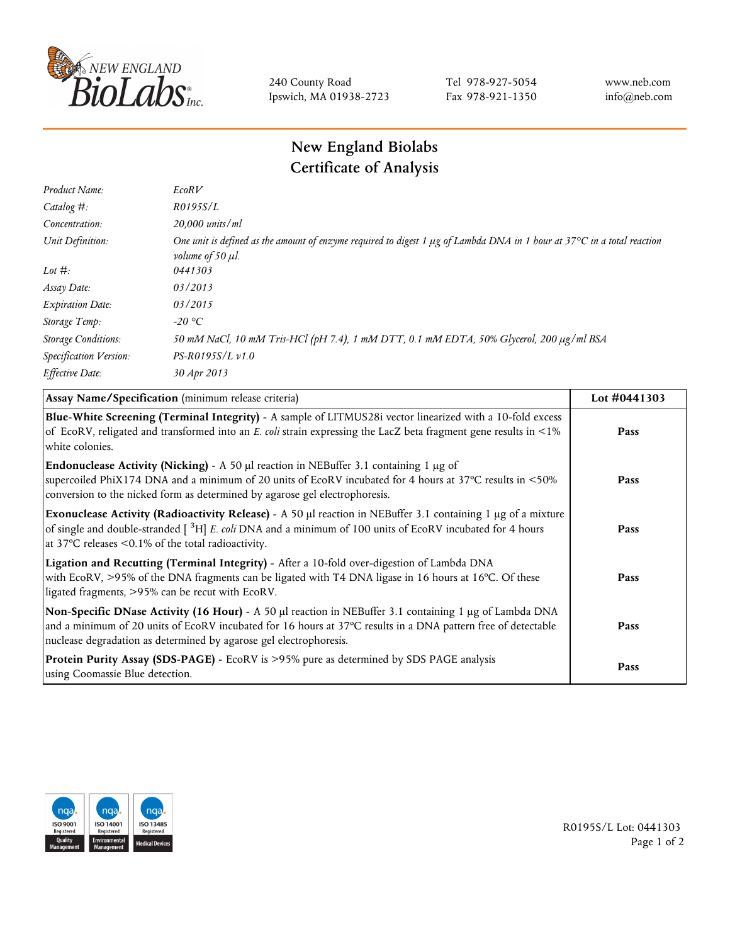

240 County Road Ipswich, MA 01938-2723 Tel 978-927-5054 Fax 978-921-1350 www.neb.com info@neb.com

## **New England Biolabs Certificate of Analysis**

| Product Name:              | EcoRV                                                                                                                                                                            |
|----------------------------|----------------------------------------------------------------------------------------------------------------------------------------------------------------------------------|
| Catalog $#$ :              | R0195S/L                                                                                                                                                                         |
| Concentration:             | 20,000 units/ml                                                                                                                                                                  |
| Unit Definition:           | One unit is defined as the amount of enzyme required to digest 1 $\mu$ g of Lambda DNA in 1 hour at 37 $\degree$ C in a total reaction<br><i>volume of 50 <math>\mu</math>l.</i> |
| Lot $#$ :                  | 0441303                                                                                                                                                                          |
| Assay Date:                | 03/2013                                                                                                                                                                          |
| <b>Expiration Date:</b>    | 03/2015                                                                                                                                                                          |
| Storage Temp:              | $-20$ °C                                                                                                                                                                         |
| <b>Storage Conditions:</b> | 50 mM NaCl, 10 mM Tris-HCl (pH 7.4), 1 mM DTT, 0.1 mM EDTA, 50% Glycerol, 200 µg/ml BSA                                                                                          |
| Specification Version:     | $PS-R0195S/L \nu 1.0$                                                                                                                                                            |
| Effective Date:            | 30 Apr 2013                                                                                                                                                                      |

| Assay Name/Specification (minimum release criteria)                                                                                                                                                                                                                                                       | Lot #0441303 |
|-----------------------------------------------------------------------------------------------------------------------------------------------------------------------------------------------------------------------------------------------------------------------------------------------------------|--------------|
| Blue-White Screening (Terminal Integrity) - A sample of LITMUS28i vector linearized with a 10-fold excess<br>of EcoRV, religated and transformed into an E. coli strain expressing the LacZ beta fragment gene results in <1%<br>white colonies.                                                          | Pass         |
| <b>Endonuclease Activity (Nicking)</b> - A 50 $\mu$ l reaction in NEBuffer 3.1 containing 1 $\mu$ g of<br>supercoiled PhiX174 DNA and a minimum of 20 units of EcoRV incubated for 4 hours at 37°C results in <50%<br>conversion to the nicked form as determined by agarose gel electrophoresis.         | Pass         |
| Exonuclease Activity (Radioactivity Release) - A 50 $\mu$ l reaction in NEBuffer 3.1 containing 1 $\mu$ g of a mixture<br>of single and double-stranded $\int^3 H$ E. coli DNA and a minimum of 100 units of EcoRV incubated for 4 hours<br>at 37 $\degree$ C releases < 0.1% of the total radioactivity. | Pass         |
| Ligation and Recutting (Terminal Integrity) - After a 10-fold over-digestion of Lambda DNA<br>with EcoRV, >95% of the DNA fragments can be ligated with T4 DNA ligase in 16 hours at 16°C. Of these<br>ligated fragments, >95% can be recut with EcoRV.                                                   | Pass         |
| Non-Specific DNase Activity (16 Hour) - A 50 µl reaction in NEBuffer 3.1 containing 1 µg of Lambda DNA<br>and a minimum of 20 units of EcoRV incubated for 16 hours at 37°C results in a DNA pattern free of detectable<br>nuclease degradation as determined by agarose gel electrophoresis.             | Pass         |
| Protein Purity Assay (SDS-PAGE) - EcoRV is >95% pure as determined by SDS PAGE analysis<br>using Coomassie Blue detection.                                                                                                                                                                                | Pass         |



R0195S/L Lot: 0441303 Page 1 of 2